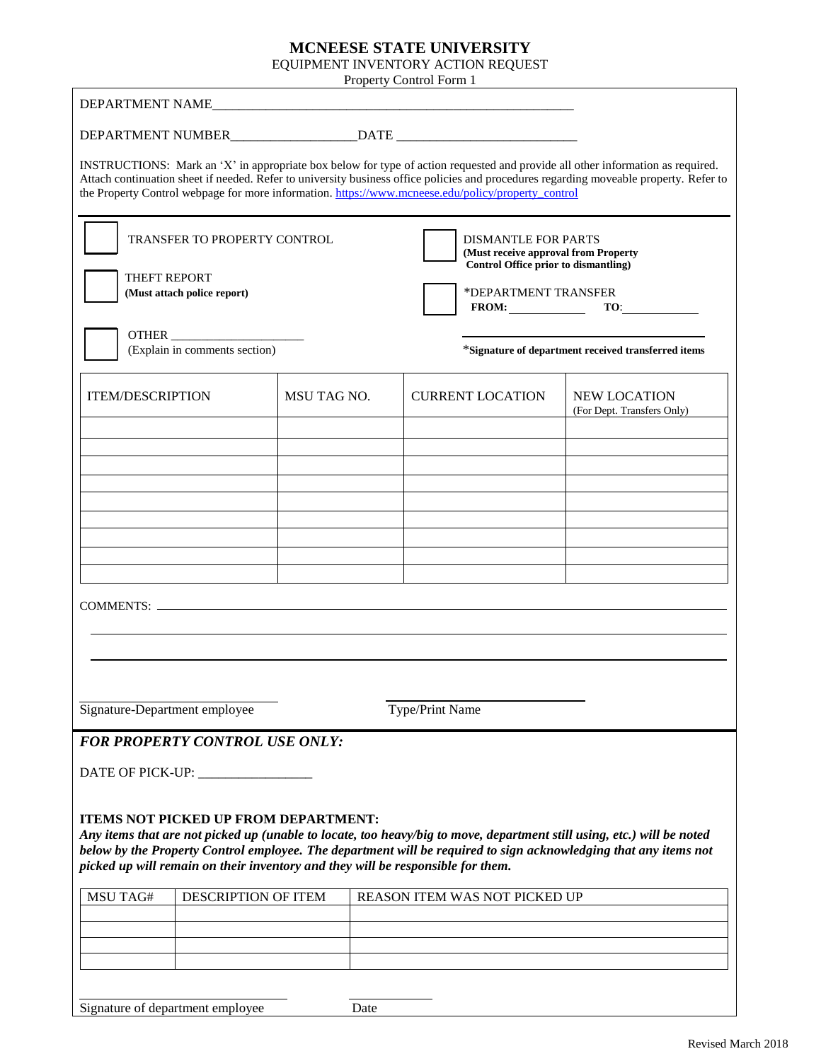## **MCNEESE STATE UNIVERSITY**

EQUIPMENT INVENTORY ACTION REQUEST

|                                                                                    |                                                                                                                                |                    | Property Control Form 1 |                                                                                                                                                          |                                                                                                                                                                                                                                                                          |  |
|------------------------------------------------------------------------------------|--------------------------------------------------------------------------------------------------------------------------------|--------------------|-------------------------|----------------------------------------------------------------------------------------------------------------------------------------------------------|--------------------------------------------------------------------------------------------------------------------------------------------------------------------------------------------------------------------------------------------------------------------------|--|
|                                                                                    | DEPARTMENT NAME                                                                                                                |                    |                         |                                                                                                                                                          |                                                                                                                                                                                                                                                                          |  |
|                                                                                    |                                                                                                                                |                    |                         |                                                                                                                                                          |                                                                                                                                                                                                                                                                          |  |
|                                                                                    |                                                                                                                                |                    |                         | the Property Control webpage for more information. https://www.mcneese.edu/policy/property_control                                                       | INSTRUCTIONS: Mark an 'X' in appropriate box below for type of action requested and provide all other information as required.<br>Attach continuation sheet if needed. Refer to university business office policies and procedures regarding moveable property. Refer to |  |
| <b>TRANSFER TO PROPERTY CONTROL</b><br>THEFT REPORT<br>(Must attach police report) |                                                                                                                                |                    |                         | <b>DISMANTLE FOR PARTS</b><br>(Must receive approval from Property<br><b>Control Office prior to dismantling)</b><br>*DEPARTMENT TRANSFER<br>FROM: $TO:$ |                                                                                                                                                                                                                                                                          |  |
| OTHER<br>(Explain in comments section)                                             |                                                                                                                                |                    |                         | *Signature of department received transferred items                                                                                                      |                                                                                                                                                                                                                                                                          |  |
| <b>ITEM/DESCRIPTION</b>                                                            |                                                                                                                                | <b>MSU TAG NO.</b> |                         | <b>CURRENT LOCATION</b>                                                                                                                                  | <b>NEW LOCATION</b><br>(For Dept. Transfers Only)                                                                                                                                                                                                                        |  |
|                                                                                    |                                                                                                                                |                    |                         |                                                                                                                                                          |                                                                                                                                                                                                                                                                          |  |
|                                                                                    |                                                                                                                                |                    |                         |                                                                                                                                                          |                                                                                                                                                                                                                                                                          |  |
|                                                                                    |                                                                                                                                |                    |                         |                                                                                                                                                          |                                                                                                                                                                                                                                                                          |  |
|                                                                                    |                                                                                                                                |                    |                         |                                                                                                                                                          |                                                                                                                                                                                                                                                                          |  |
|                                                                                    |                                                                                                                                |                    |                         |                                                                                                                                                          |                                                                                                                                                                                                                                                                          |  |
|                                                                                    |                                                                                                                                |                    |                         |                                                                                                                                                          |                                                                                                                                                                                                                                                                          |  |
|                                                                                    | COMMENTS:                                                                                                                      |                    |                         |                                                                                                                                                          |                                                                                                                                                                                                                                                                          |  |
|                                                                                    |                                                                                                                                |                    |                         |                                                                                                                                                          |                                                                                                                                                                                                                                                                          |  |
|                                                                                    |                                                                                                                                |                    |                         |                                                                                                                                                          |                                                                                                                                                                                                                                                                          |  |
|                                                                                    |                                                                                                                                |                    |                         |                                                                                                                                                          |                                                                                                                                                                                                                                                                          |  |
| Signature-Department employee<br>Type/Print Name                                   |                                                                                                                                |                    |                         |                                                                                                                                                          |                                                                                                                                                                                                                                                                          |  |
|                                                                                    | <b>FOR PROPERTY CONTROL USE ONLY:</b>                                                                                          |                    |                         |                                                                                                                                                          |                                                                                                                                                                                                                                                                          |  |
|                                                                                    | DATE OF PICK-UP: ______________                                                                                                |                    |                         |                                                                                                                                                          |                                                                                                                                                                                                                                                                          |  |
|                                                                                    |                                                                                                                                |                    |                         |                                                                                                                                                          |                                                                                                                                                                                                                                                                          |  |
|                                                                                    | <b>ITEMS NOT PICKED UP FROM DEPARTMENT:</b><br>picked up will remain on their inventory and they will be responsible for them. |                    |                         |                                                                                                                                                          | Any items that are not picked up (unable to locate, too heavy/big to move, department still using, etc.) will be noted<br>below by the Property Control employee. The department will be required to sign acknowledging that any items not                               |  |
| <b>MSU TAG#</b>                                                                    | DESCRIPTION OF ITEM                                                                                                            |                    |                         | REASON ITEM WAS NOT PICKED UP                                                                                                                            |                                                                                                                                                                                                                                                                          |  |
|                                                                                    |                                                                                                                                |                    |                         |                                                                                                                                                          |                                                                                                                                                                                                                                                                          |  |
|                                                                                    |                                                                                                                                |                    |                         |                                                                                                                                                          |                                                                                                                                                                                                                                                                          |  |
|                                                                                    |                                                                                                                                |                    |                         |                                                                                                                                                          |                                                                                                                                                                                                                                                                          |  |
|                                                                                    |                                                                                                                                |                    |                         |                                                                                                                                                          |                                                                                                                                                                                                                                                                          |  |

Signature of department employee Date